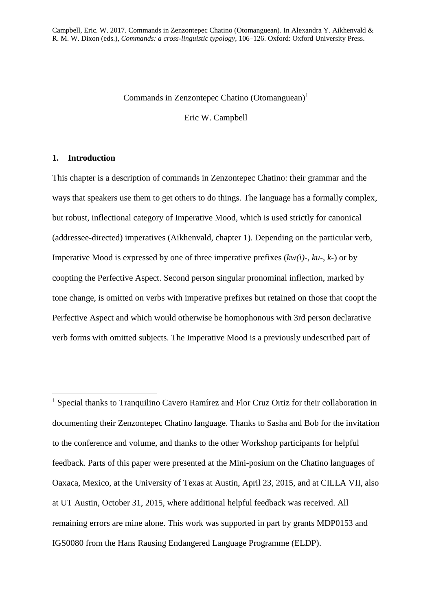### Commands in Zenzontepec Chatino  $(Ot<sub>omanguean</sub>)<sup>1</sup>$

Eric W. Campbell

## **1. Introduction**

1

This chapter is a description of commands in Zenzontepec Chatino: their grammar and the ways that speakers use them to get others to do things. The language has a formally complex, but robust, inflectional category of Imperative Mood, which is used strictly for canonical (addressee-directed) imperatives (Aikhenvald, chapter 1). Depending on the particular verb, Imperative Mood is expressed by one of three imperative prefixes (*kw(i)-*, *ku-*, *k-*) or by coopting the Perfective Aspect. Second person singular pronominal inflection, marked by tone change, is omitted on verbs with imperative prefixes but retained on those that coopt the Perfective Aspect and which would otherwise be homophonous with 3rd person declarative verb forms with omitted subjects. The Imperative Mood is a previously undescribed part of

<sup>1</sup> Special thanks to Tranquilino Cavero Ramírez and Flor Cruz Ortiz for their collaboration in documenting their Zenzontepec Chatino language. Thanks to Sasha and Bob for the invitation to the conference and volume, and thanks to the other Workshop participants for helpful feedback. Parts of this paper were presented at the Mini-posium on the Chatino languages of Oaxaca, Mexico, at the University of Texas at Austin, April 23, 2015, and at CILLA VII, also at UT Austin, October 31, 2015, where additional helpful feedback was received. All remaining errors are mine alone. This work was supported in part by grants MDP0153 and IGS0080 from the Hans Rausing Endangered Language Programme (ELDP).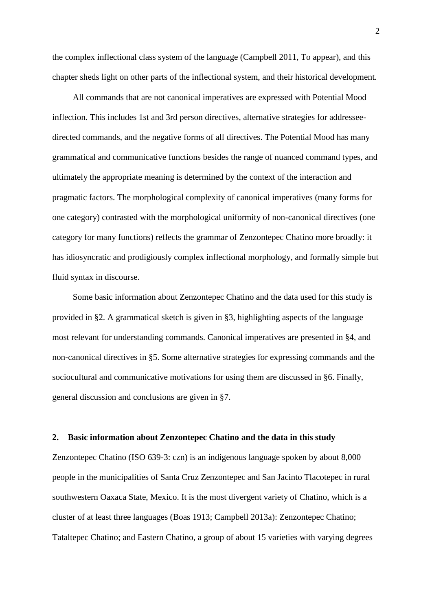the complex inflectional class system of the language (Campbell 2011, To appear), and this chapter sheds light on other parts of the inflectional system, and their historical development.

All commands that are not canonical imperatives are expressed with Potential Mood inflection. This includes 1st and 3rd person directives, alternative strategies for addresseedirected commands, and the negative forms of all directives. The Potential Mood has many grammatical and communicative functions besides the range of nuanced command types, and ultimately the appropriate meaning is determined by the context of the interaction and pragmatic factors. The morphological complexity of canonical imperatives (many forms for one category) contrasted with the morphological uniformity of non-canonical directives (one category for many functions) reflects the grammar of Zenzontepec Chatino more broadly: it has idiosyncratic and prodigiously complex inflectional morphology, and formally simple but fluid syntax in discourse.

Some basic information about Zenzontepec Chatino and the data used for this study is provided in §2. A grammatical sketch is given in §3, highlighting aspects of the language most relevant for understanding commands. Canonical imperatives are presented in §4, and non-canonical directives in §5. Some alternative strategies for expressing commands and the sociocultural and communicative motivations for using them are discussed in §6. Finally, general discussion and conclusions are given in §7.

#### **2. Basic information about Zenzontepec Chatino and the data in this study**

Zenzontepec Chatino (ISO 639-3: czn) is an indigenous language spoken by about 8,000 people in the municipalities of Santa Cruz Zenzontepec and San Jacinto Tlacotepec in rural southwestern Oaxaca State, Mexico. It is the most divergent variety of Chatino, which is a cluster of at least three languages (Boas 1913; Campbell 2013a): Zenzontepec Chatino; Tataltepec Chatino; and Eastern Chatino, a group of about 15 varieties with varying degrees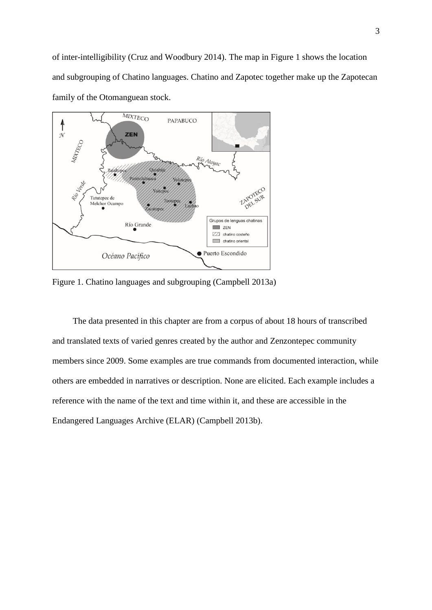

Figure 1. Chatino languages and subgrouping (Campbell 2013a)

The data presented in this chapter are from a corpus of about 18 hours of transcribed and translated texts of varied genres created by the author and Zenzontepec community members since 2009. Some examples are true commands from documented interaction, while others are embedded in narratives or description. None are elicited. Each example includes a reference with the name of the text and time within it, and these are accessible in the Endangered Languages Archive (ELAR) (Campbell 2013b).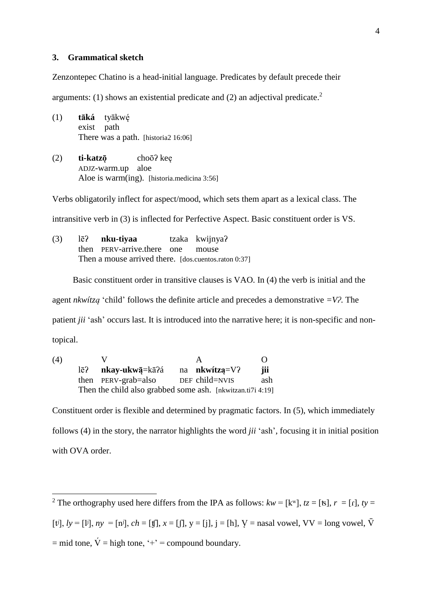### **3. Grammatical sketch**

Zenzontepec Chatino is a head-initial language. Predicates by default precede their

arguments: (1) shows an existential predicate and (2) an adjectival predicate.<sup>2</sup>

- (1) **tāká** tyākwę́ exist path There was a path. [historia2 16:06]
- (2) **ti-katzǭ** choōʔ keę ADJZ-warm.up aloe Aloe is warm(ing). [historia.medicina 3:56]

Verbs obligatorily inflect for aspect/mood, which sets them apart as a lexical class. The

intransitive verb in (3) is inflected for Perfective Aspect. Basic constituent order is VS.

(3) lēʔ **nku-tiyaa** tzaka kwijnyaʔ then PERV-arrive.there one mouse Then a mouse arrived there. [dos.cuentos.raton 0:37]

Basic constituent order in transitive clauses is VAO. In (4) the verb is initial and the

agent *nkwítzą* 'child' follows the definite article and precedes a demonstrative *=Vʔ*. The

patient *jii* 'ash' occurs last. It is introduced into the narrative here; it is non-specific and non-

topical.

(4) V A O lēʔ **nkay-ukwą̄**=kāʔá na **nkwítzą**=Vʔ **jii** then PERV-grab=also DEF child=NVIS ash Then the child also grabbed some ash. [nkwitzan.ti7i 4:19]

Constituent order is flexible and determined by pragmatic factors. In (5), which immediately follows (4) in the story, the narrator highlights the word *jii* 'ash', focusing it in initial position with OVA order.

1 <sup>2</sup> The orthography used here differs from the IPA as follows:  $kw = [k^w]$ ,  $tz = [ts]$ ,  $r = [r]$ ,  $ty =$ [t],  $ly = [1]$ ,  $ny = [n]$ ,  $ch = [f]$ ,  $x = [f]$ ,  $y = [j]$ ,  $j = [h]$ ,  $y =$  nasal vowel, VV = long vowel,  $\overline{V}$  $=$  mid tone,  $\acute{V}$  = high tone,  $\acute{V}$  = compound boundary.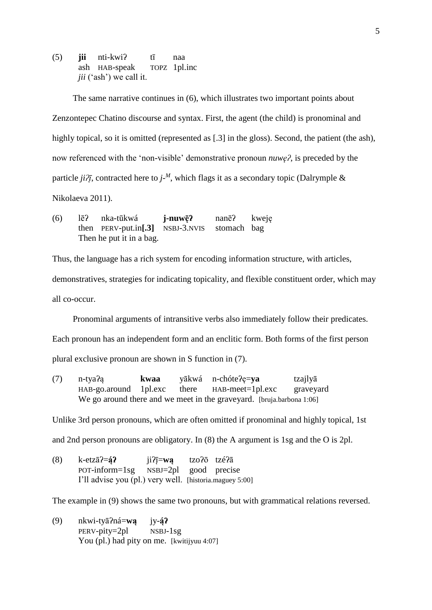(5) **jii** nti-kwiʔ tī naa ash HAB-speak TOPZ 1pl.inc *jii* ('ash') we call it.

The same narrative continues in (6), which illustrates two important points about Zenzontepec Chatino discourse and syntax. First, the agent (the child) is pronominal and highly topical, so it is omitted (represented as [.3] in the gloss). Second, the patient (the ash), now referenced with the 'non-visible' demonstrative pronoun *nuwęʔ*, is preceded by the particle  $ji\partial \overline{t}$ , contracted here to  $j$ <sup>\_M</sup>, which flags it as a secondary topic (Dalrymple & Nikolaeva 2011).

(6) lēʔ nka-tūkwá **j-nuwę̄ʔ** nanēʔ kweję then PERV-put.in**[.3]** NSBJ-3.NVIS stomach bag Then he put it in a bag.

Thus, the language has a rich system for encoding information structure, with articles,

demonstratives, strategies for indicating topicality, and flexible constituent order, which may all co-occur.

Pronominal arguments of intransitive verbs also immediately follow their predicates.

Each pronoun has an independent form and an enclitic form. Both forms of the first person

plural exclusive pronoun are shown in S function in (7).

(7) n-tyaʔą **kwaa** yākwá n-chóteʔę=**ya** tzajlyā HAB-go.around 1pl.exc there HAB-meet=1pl.exc graveyard We go around there and we meet in the graveyard. [bruja.barbona 1:06]

Unlike 3rd person pronouns, which are often omitted if pronominal and highly topical, 1st

and 2nd person pronouns are obligatory. In (8) the A argument is 1sg and the O is 2pl.

(8) k-etzāʔ=**ą́ʔ** jiʔį̄=**wą** tzoʔō tzéʔā POT-inform=1sg NSBJ=2pl good precise I'll advise you (pl.) very well. [historia.maguey 5:00]

The example in (9) shows the same two pronouns, but with grammatical relations reversed.

(9) nkwi-tyāʔná=**wą** jy-**ą́ʔ** PERV-pity=2pl NSBJ-1sg You (pl.) had pity on me. [kwitijyuu 4:07]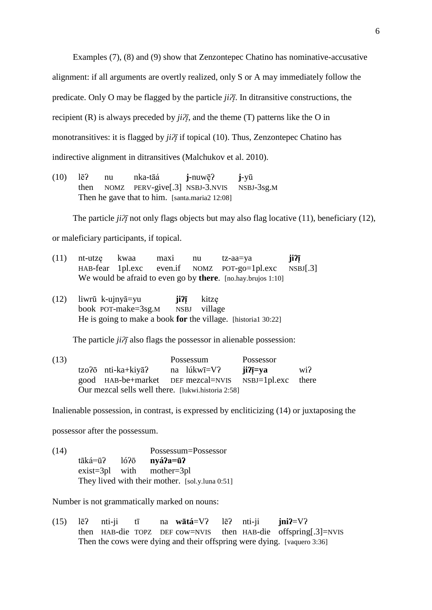Examples (7), (8) and (9) show that Zenzontepec Chatino has nominative-accusative alignment: if all arguments are overtly realized, only S or A may immediately follow the predicate. Only O may be flagged by the particle  $ji\overline{\lambda}$ . In ditransitive constructions, the recipient (R) is always preceded by  $ji\partial\bar{i}$ , and the theme (T) patterns like the O in monotransitives: it is flagged by *jiʔį* if topical (10). Thus, Zenzontepec Chatino has indirective alignment in ditransitives (Malchukov et al. 2010).

(10) lēʔ nu nka-tāá **j-**nuwę̄ʔ **j**-yū then NOMZ PERV-give[.3] NSBJ-3.NVIS NSBJ-3sg.M Then he gave that to him. [santa.maria2 12:08]

The particle *ji* $\partial \overline{\partial}$  not only flags objects but may also flag locative (11), beneficiary (12),

or maleficiary participants, if topical.

| $(11)$ nt-utze kwaa | maxi | nu | tz-aa=va                                                      | ji?ī |
|---------------------|------|----|---------------------------------------------------------------|------|
|                     |      |    | $HAB-fear$ 1 pl. exc even. if NOMZ POT-go=1 pl. exc NSBJ [.3] |      |
|                     |      |    | We would be afraid to even go by there. [no.hay.brujos 1:10]  |      |

(12) liwrū k-ujnyā=yu **jiʔį̄** kitzę book POT-make=3sg.M NSBJ village He is going to make a book **for** the village. [historia1 30:22]

The particle *ji?j* also flags the possessor in alienable possession:

(13) Possessum Possessor tzoʔō nti-ka+kiyāʔ na lúkwī=Vʔ **jiʔį̄=ya** wiʔ good HAB-be+market DEF mezcal=NVIS NSBJ=1pl.exc there Our mezcal sells well there. [lukwi.historia 2:58]

Inalienable possession, in contrast, is expressed by encliticizing (14) or juxtaposing the

possessor after the possessum.

(14) Possessum=Possessor tāká=ūʔ lóʔō **nyáʔa=ūʔ** exist=3pl with mother=3pl They lived with their mother. [sol.y.luna 0:51]

Number is not grammatically marked on nouns:

(15) lēʔ nti-ji tī na **wātá**=Vʔ lēʔ nti-ji **jniʔ**=Vʔ then HAB-die TOPZ DEF cow=NVIS then HAB-die offspring[.3]=NVIS Then the cows were dying and their offspring were dying. [vaquero 3:36]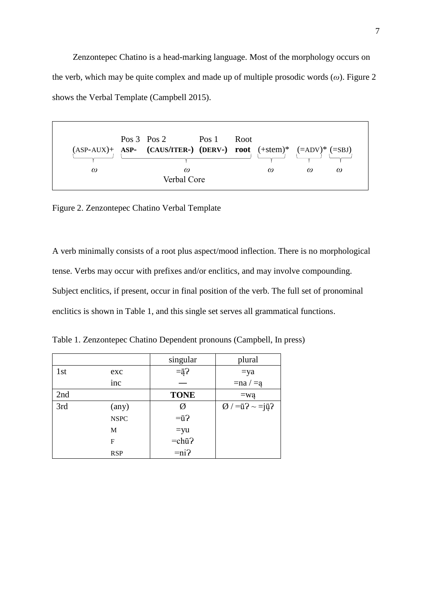Zenzontepec Chatino is a head-marking language. Most of the morphology occurs on the verb, which may be quite complex and made up of multiple prosodic words (*ω*). Figure 2 shows the Verbal Template (Campbell 2015).



Figure 2. Zenzontepec Chatino Verbal Template

A verb minimally consists of a root plus aspect/mood inflection. There is no morphological tense. Verbs may occur with prefixes and/or enclitics, and may involve compounding. Subject enclitics, if present, occur in final position of the verb. The full set of pronominal enclitics is shown in Table 1, and this single set serves all grammatical functions.

|     |                | singular               | plural                                        |
|-----|----------------|------------------------|-----------------------------------------------|
| 1st | exc            | $=\overline{a}$ ?      | $=ya$                                         |
|     | inc            |                        | $=$ na / $=$ ą                                |
| 2nd |                | <b>TONE</b>            | $=$ wa                                        |
| 3rd | $(\text{any})$ | Ø                      | $\varnothing$ / = $\bar{u}$ ? ~ = $\bar{u}$ ? |
|     | <b>NSPC</b>    | $=\bar{u}$ ?           |                                               |
|     | M              | $=yu$                  |                                               |
|     | F              | $=$ chū $\overline{?}$ |                                               |
|     | <b>RSP</b>     | $=ni$ ?                |                                               |

Table 1. Zenzontepec Chatino Dependent pronouns (Campbell, In press)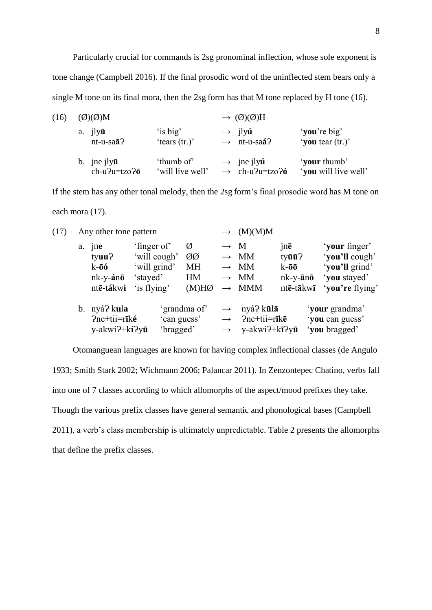Particularly crucial for commands is 2sg pronominal inflection, whose sole exponent is tone change (Campbell 2016). If the final prosodic word of the uninflected stem bears only a single M tone on its final mora, then the 2sg form has that M tone replaced by H tone (16).

| (16) | $(\emptyset)(\emptyset)M$ |                  | $\rightarrow$ (Ø)(Ø)H          |                      |  |  |
|------|---------------------------|------------------|--------------------------------|----------------------|--|--|
|      | a. jly <b>ū</b>           | 'is big'         | $\rightarrow$ ilyú             | 'you're big'         |  |  |
|      | $nt-u-sa\bar{a}$ ?        | 'tears $(tr.)'$  | $\rightarrow$ nt-u-saá?        | 'you tear (tr.)'     |  |  |
|      | b. jne j $\log$ <b>u</b>  | 'thumb of'       | $\rightarrow$ ine jly <b>ú</b> | 'your thumb'         |  |  |
|      | $ch-u2u=tzo2\bar{o}$      | 'will live well' | $\rightarrow$ ch-u?u=tzo?6     | 'you will live well' |  |  |

If the stem has any other tonal melody, then the 2sg form's final prosodic word has M tone on each mora (17).

| (17) | Any other tone pattern |                                                                           |                                                                        | (M)(M)M                      |                                                   |                                                                 |                                                                                   |                                                                                      |
|------|------------------------|---------------------------------------------------------------------------|------------------------------------------------------------------------|------------------------------|---------------------------------------------------|-----------------------------------------------------------------|-----------------------------------------------------------------------------------|--------------------------------------------------------------------------------------|
|      | a.                     | jne<br>tyuu?<br>$k-\bar{o}\acute{o}$<br>$nk$ -y-án $\bar{o}$<br>ntē-tákwi | 'finger of'<br>'will cough'<br>'will grind'<br>'stayed'<br>'is flying' | Ø<br>ØØ<br>МH<br>HM<br>(M)HØ | $\rightarrow$ M<br>$\rightarrow$<br>$\rightarrow$ | $\rightarrow$ MM<br>$\rightarrow$ MM<br><b>MM</b><br><b>MMM</b> | jnē<br>tyūū?<br>$k-\bar{o}\bar{o}$<br>$nk$ -y- $\bar{a}$ n $\bar{o}$<br>ntē-tākwī | 'your finger'<br>'you'll cough'<br>'you'll grind'<br>'you stayed'<br>'you're flying' |
|      |                        | b. nyá? kula<br>$Pne+ti=rik\acute{e}$<br>y-akwi?+kí?yū                    | 'bragged'                                                              | 'grandma of<br>'can guess'   | $\rightarrow$<br>$\rightarrow$<br>$\rightarrow$   | nyá? kūlā<br>$Pne+ti=rik\bar{e}$<br>$y - akwi? + k\bar{i}$      |                                                                                   | 'your grandma'<br>'you can guess'<br>'you bragged'                                   |

Otomanguean languages are known for having complex inflectional classes (de Angulo 1933; Smith Stark 2002; Wichmann 2006; Palancar 2011). In Zenzontepec Chatino, verbs fall into one of 7 classes according to which allomorphs of the aspect/mood prefixes they take. Though the various prefix classes have general semantic and phonological bases (Campbell 2011), a verb's class membership is ultimately unpredictable. Table 2 presents the allomorphs that define the prefix classes.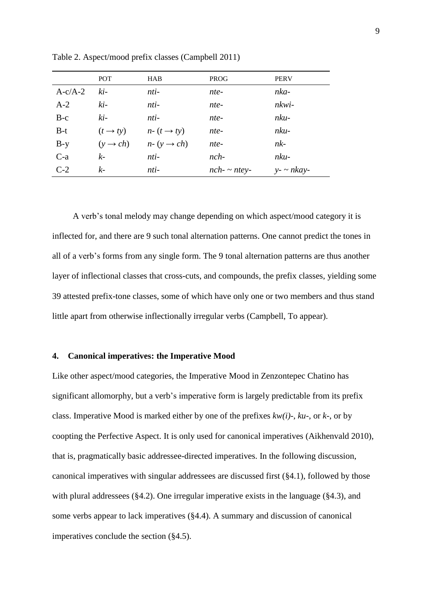|           | <b>POT</b>           | <b>HAB</b>                                  | <b>PROG</b>   | <b>PERV</b>       |
|-----------|----------------------|---------------------------------------------|---------------|-------------------|
| $A-c/A-2$ | ki-                  | nti-                                        | nte-          | nka-              |
| $A-2$     | $ki-$                | nti-                                        | nte-          | nkwi-             |
| $B-c$     | $ki-$                | $nti-$                                      | nte-          | $nku-$            |
| $B-t$     | $(t \rightarrow ty)$ | $n - (t \rightarrow ty)$                    | nte-          | $nku-$            |
| $B-y$     |                      | $(y \rightarrow ch)$ $n-(y \rightarrow ch)$ | nte-          | $nk-$             |
| $C-a$     | $k-$                 | nti-                                        | $nch-$        | $nku-$            |
| $C-2$     | k-                   | nti-                                        | $nch - nte$ . | $y - \sim n$ kay- |

Table 2. Aspect/mood prefix classes (Campbell 2011)

A verb's tonal melody may change depending on which aspect/mood category it is inflected for, and there are 9 such tonal alternation patterns. One cannot predict the tones in all of a verb's forms from any single form. The 9 tonal alternation patterns are thus another layer of inflectional classes that cross-cuts, and compounds, the prefix classes, yielding some 39 attested prefix-tone classes, some of which have only one or two members and thus stand little apart from otherwise inflectionally irregular verbs (Campbell, To appear).

### **4. Canonical imperatives: the Imperative Mood**

Like other aspect/mood categories, the Imperative Mood in Zenzontepec Chatino has significant allomorphy, but a verb's imperative form is largely predictable from its prefix class. Imperative Mood is marked either by one of the prefixes *kw(i)-*, *ku-*, or *k-*, or by coopting the Perfective Aspect. It is only used for canonical imperatives (Aikhenvald 2010), that is, pragmatically basic addressee-directed imperatives. In the following discussion, canonical imperatives with singular addressees are discussed first (§4.1), followed by those with plural addressees (§4.2). One irregular imperative exists in the language (§4.3), and some verbs appear to lack imperatives (§4.4). A summary and discussion of canonical imperatives conclude the section (§4.5).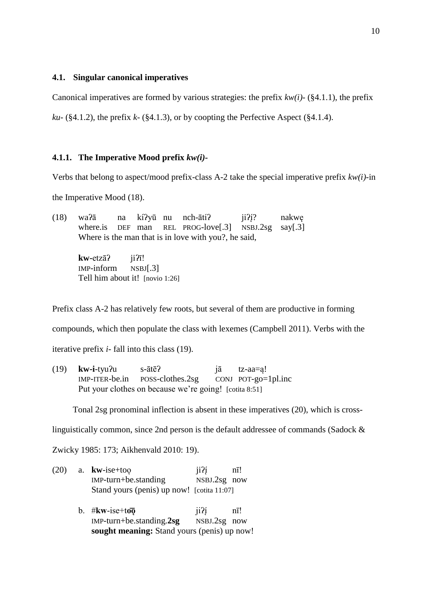### **4.1. Singular canonical imperatives**

Canonical imperatives are formed by various strategies: the prefix *kw(i)-* (§4.1.1), the prefix

*ku-* (§4.1.2), the prefix *k-* (§4.1.3), or by coopting the Perfective Aspect (§4.1.4).

### **4.1.1. The Imperative Mood prefix** *kw(i)-*

Verbs that belong to aspect/mood prefix-class A-2 take the special imperative prefix *kw(i)-*in

the Imperative Mood (18).

(18) waʔā na kíʔyū nu nch-ātíʔ jiʔį́? nakwę where.is DEF man REL PROG-love[.3] NSBJ.2sg say[.3] Where is the man that is in love with you?, he said,

> **kw-**etzāʔ jiʔī! IMP-inform NSBJ[.3] Tell him about it! [novio 1:26]

Prefix class A-2 has relatively few roots, but several of them are productive in forming

compounds, which then populate the class with lexemes (Campbell 2011). Verbs with the

iterative prefix *i-* fall into this class (19).

(19) **kw-i**-tyuʔu s-ātēʔ jā tz-aa=ą!  $IMP-ITER-be.in$  POSS-clothes.2sg CONJ POT-go=1pl.inc Put your clothes on because we're going! [cotita 8:51]

Tonal 2sg pronominal inflection is absent in these imperatives (20), which is cross-

linguistically common, since 2nd person is the default addressee of commands (Sadock &

Zwicky 1985: 173; Aikhenvald 2010: 19).

| (20) | a. kw-ise+too                                                                                    | ii2i                   | $n\bar{1}!$      |  |
|------|--------------------------------------------------------------------------------------------------|------------------------|------------------|--|
|      | $IMP$ -turn+be.standing                                                                          | NSBJ.2sg now           |                  |  |
|      | Stand yours (penis) up now! [cotita 11:07]                                                       |                        |                  |  |
|      | b. # $k$ w-ise+too<br>$IMP$ -turn+be.standing.2sg<br>sought meaning: Stand yours (penis) up now! | 1121<br>$NSBJ.2sg$ now | $n\overline{1}!$ |  |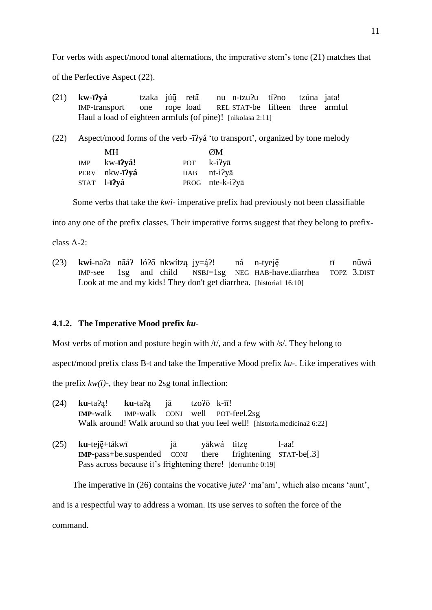For verbs with aspect/mood tonal alternations, the imperative stem's tone (21) matches that of the Perfective Aspect (22).

- (21) **kw-īʔyá** tzaka júų̄ retā nu n-tzuʔu tíʔno tzúna jata! IMP-transport one rope load REL STAT-be fifteen three armful Haul a load of eighteen armfuls (of pine)! [nikolasa 2:11]
- (22) Aspect/mood forms of the verb -īʔyá 'to transport', organized by tone melody

| MН              |                                              | ØM              |
|-----------------|----------------------------------------------|-----------------|
| $kw$ - $i$ ?yá! | <b>POT</b>                                   | $k-i2y\bar{a}$  |
|                 | HAB                                          | $nt-i2y\bar{a}$ |
|                 |                                              | PROG nte-k-i?ya |
|                 | PERV nkw <b>-ī?vá</b><br>STAT l <b>-ī?yá</b> |                 |

Some verbs that take the *kwi-* imperative prefix had previously not been classifiable

into any one of the prefix classes. Their imperative forms suggest that they belong to prefix-

class A-2:

(23) **kwi-**naʔa nāáʔ lóʔō nkwítzą jy=ą́ʔ! ná n-tyeję̄ tī nūwá IMP-see 1sg and child NSBJ=1sg NEG HAB-have.diarrhea TOPZ 3.DIST Look at me and my kids! They don't get diarrhea. [historia1 16:10]

## **4.1.2. The Imperative Mood prefix** *ku-*

Most verbs of motion and posture begin with  $/t$ , and a few with  $/s$ . They belong to

aspect/mood prefix class B-t and take the Imperative Mood prefix *ku-*. Like imperatives with

the prefix  $kw(i)$ -, they bear no 2sg tonal inflection:

| $(24)$ ku-ta?a! ku-ta?a jā tzo?ō k- $\overline{u}$ ! |  |                                                                           |
|------------------------------------------------------|--|---------------------------------------------------------------------------|
|                                                      |  | <b>IMP-walk</b> IMP-walk CONJ well POT-feel.2sg                           |
|                                                      |  | Walk around! Walk around so that you feel well! [historia.medicina2 6:22] |

(25) **ku**-teję̄+tákwī jā yākwá titzę l-aa! **IMP**-pass+be.suspended CONJ there frightening STAT-be[.3] Pass across because it's frightening there! [derrumbe 0:19]

The imperative in (26) contains the vocative *jute?* 'ma'am', which also means 'aunt',

and is a respectful way to address a woman. Its use serves to soften the force of the

command.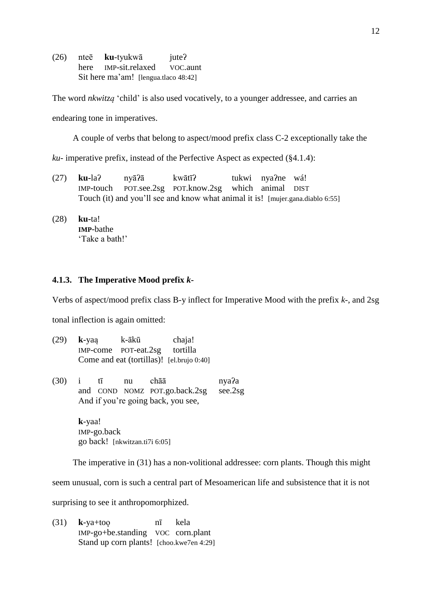(26) nteē **ku**-tyukwā juteʔ here IMP-sit.relaxed VOC.aunt Sit here ma'am! [lengua.tlaco 48:42]

The word *nkwitzą* 'child' is also used vocatively, to a younger addressee, and carries an

endearing tone in imperatives.

A couple of verbs that belong to aspect/mood prefix class C-2 exceptionally take the

*ku-* imperative prefix, instead of the Perfective Aspect as expected (§4.1.4):

- (27) **ku-**laʔ nyāʔā kwātīʔ tukwi nyaʔne wá! IMP-touch POT.see.2sg POT.know.2sg which animal DIST Touch (it) and you'll see and know what animal it is! [mujer.gana.diablo 6:55]
- (28) **ku-**ta! **IMP**-bathe 'Take a bath!'

### **4.1.3. The Imperative Mood prefix** *k-*

Verbs of aspect/mood prefix class B-y inflect for Imperative Mood with the prefix *k-*, and 2sg

tonal inflection is again omitted:

| (29) | $k$ -yaa                                  | k-ākū                         | chaja! |
|------|-------------------------------------------|-------------------------------|--------|
|      |                                           | IMP-come POT-eat.2sg tortilla |        |
|      | Come and eat (tortillas)! [el.brujo 0:40] |                               |        |

(30) i tī nu chāā nyaʔa and COND NOMZ POT.go.back.2sg see.2sg And if you're going back, you see,

> **k**-yaa! IMP-go.back go back! [nkwitzan.ti7i 6:05]

The imperative in (31) has a non-volitional addressee: corn plants. Though this might seem unusual, corn is such a central part of Mesoamerican life and subsistence that it is not surprising to see it anthropomorphized.

(31) **k**-ya+toǫ nī kela IMP-go+be.standing VOC corn.plant Stand up corn plants! [choo.kwe7en 4:29]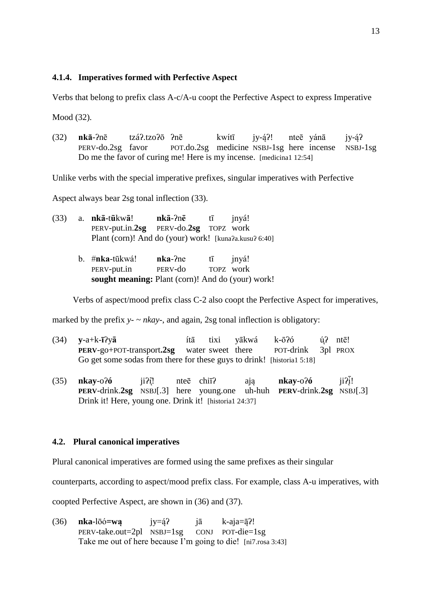## **4.1.4. Imperatives formed with Perfective Aspect**

Verbs that belong to prefix class A-c/A-u coopt the Perfective Aspect to express Imperative

Mood (32).

(32) **nkā**-ʔnē tzáʔ.tzoʔō ʔnē kwítī jy-ą́ʔ! nteē yánā jy-ą́ʔ PERV-do.2sg favor POT.do.2sg medicine NSBJ-1sg here incense NSBJ-1sg Do me the favor of curing me! Here is my incense. [medicina1 12:54]

Unlike verbs with the special imperative prefixes, singular imperatives with Perfective

Aspect always bear 2sg tonal inflection (33).

|  | $(33)$ a. nkā-tūkwā!                                  | nkā-?nē tī    |      | invá! |
|--|-------------------------------------------------------|---------------|------|-------|
|  | PERV-put.in.2sg PERV-do.2sg TOPZ work                 |               |      |       |
|  | Plant (corn)! And do (your) work! [kuna?a.kusu? 6:40] |               |      |       |
|  | $h$ $\#$ n $a$ -tu $v$ ál                             | $nba$ - $2na$ | $+7$ | invol |

| b. # <b>nka-</b> tūkwá!                                  | $nka$ - $2ne$ | tī | jnyá!     |
|----------------------------------------------------------|---------------|----|-----------|
| PERV-put.in                                              | PERV-do       |    | TOPZ work |
| <b>sought meaning:</b> Plant (corn)! And do (your) work! |               |    |           |

Verbs of aspect/mood prefix class C-2 also coopt the Perfective Aspect for imperatives,

marked by the prefix  $y - \gamma$  *nkay*, and again, 2sg tonal inflection is obligatory:

| $(34)$ y-a+k- $\bar{1}$ ?ya                                            | íta |  | tixi yākwá k-ōʔó | ú? ntē! |
|------------------------------------------------------------------------|-----|--|------------------|---------|
| <b>PERV-go+POT-transport.2sg</b> water sweet there POT-drink 3pl PROX  |     |  |                  |         |
| Go get some sodas from there for these guys to drink! [historial 5:18] |     |  |                  |         |

(35) **nkay**-oʔ**ó** jiʔį̄! nteē chiīʔ ają **nkay**-oʔ**ó** jiʔį  $ii2\overline{i}!$ **PERV**-drink.**2sg** NSBJ[.3] here young.one uh-huh **PERV**-drink.**2sg** NSBJ[.3] Drink it! Here, young one. Drink it! [historia1 24:37]

### **4.2. Plural canonical imperatives**

Plural canonical imperatives are formed using the same prefixes as their singular

counterparts, according to aspect/mood prefix class. For example, class A-u imperatives, with

coopted Perfective Aspect, are shown in (36) and (37).

(36) **nka**-lōó**=wą** jy=ą́ʔ jā k-aja=ą̄ʔ! PERV-take.out=2pl NSBJ=1sg CONJ POT-die=1sg Take me out of here because I'm going to die! [ni7.rosa 3:43]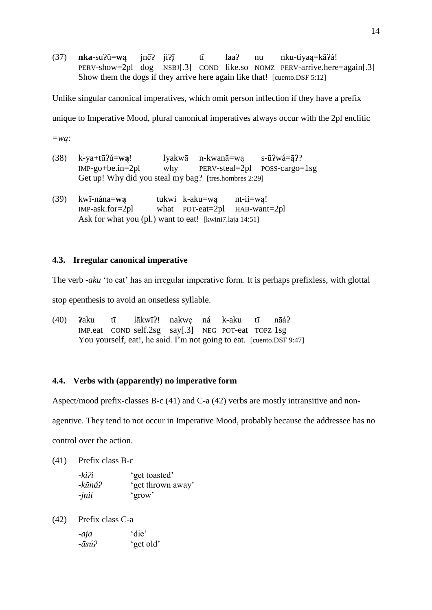(37) **nka**-suʔū**=wą** jnēʔ jiʔį̄ tī laaʔ nu nku-tiyaą=kāʔá! PERV-show=2pl dog NSBJ[.3] COND like.so NOMZ PERV-arrive.here=again[.3] Show them the dogs if they arrive here again like that! [cuento.DSF 5:12]

Unlike singular canonical imperatives, which omit person inflection if they have a prefix unique to Imperative Mood, plural canonical imperatives always occur with the 2pl enclitic *=wą*:

- (38) k-ya+tūʔú=**wą**! lyakwā n-kwanā=wą s-ūʔwá=ą̄ʔ? IMP-go+be.in=2pl why PERV-steal=2pl POSS-cargo=1sg Get up! Why did you steal my bag? [tres.hombres 2:29]
- (39) kwī-nána=**wą** tukwi k-aku=wą nt-ii=wą! IMP-ask.for=2pl what POT-eat=2pl HAB-want=2pl Ask for what you (pl.) want to eat! [kwini7.laja 14:51]

# **4.3. Irregular canonical imperative**

The verb *-aku* 'to eat' has an irregular imperative form. It is perhaps prefixless, with glottal

stop epenthesis to avoid an onsetless syllable.

(40) **ʔ**aku tī lākwīʔ! nakwę ná k-aku tī nāáʔ IMP.eat COND self.2sg say[.3] NEG POT-eat TOPZ 1sg You yourself, eat!, he said. I'm not going to eat. [cuento.DSF 9:47]

# **4.4. Verbs with (apparently) no imperative form**

Aspect/mood prefix-classes B-c (41) and C-a (42) verbs are mostly intransitive and non-

agentive. They tend to not occur in Imperative Mood, probably because the addressee has no

control over the action.

(41) Prefix class B-c

| -kiʔi           | 'get toasted'     |
|-----------------|-------------------|
| -kūná?          | 'get thrown away' |
| $-$ <i>jnii</i> | 'grow'            |

(42) Prefix class C-a

| -aja  | 'die'     |  |
|-------|-----------|--|
| -āsú? | 'get old' |  |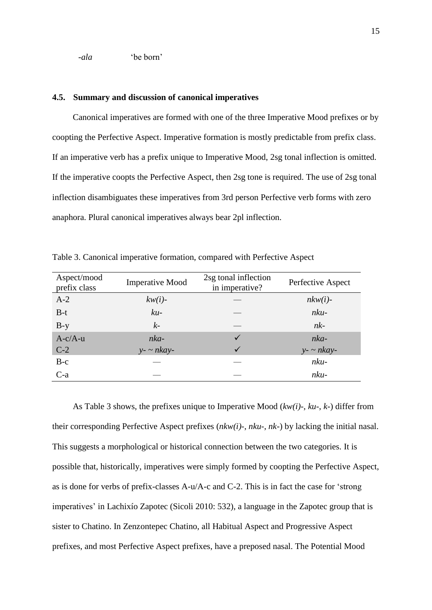*-ala* 'be born'

### **4.5. Summary and discussion of canonical imperatives**

Canonical imperatives are formed with one of the three Imperative Mood prefixes or by coopting the Perfective Aspect. Imperative formation is mostly predictable from prefix class. If an imperative verb has a prefix unique to Imperative Mood, 2sg tonal inflection is omitted. If the imperative coopts the Perfective Aspect, then 2sg tone is required. The use of 2sg tonal inflection disambiguates these imperatives from 3rd person Perfective verb forms with zero anaphora. Plural canonical imperatives always bear 2pl inflection.

| Aspect/mood<br>prefix class | <b>Imperative Mood</b> | 2sg tonal inflection<br>in imperative? | Perfective Aspect |
|-----------------------------|------------------------|----------------------------------------|-------------------|
| $A-2$                       | $kw(i)$ -              |                                        | $nkw(i)$ -        |
| $B-t$                       | $ku-$                  |                                        | $nku-$            |
| $B-y$                       | $k-$                   |                                        | $nk-$             |
| $A-c/A-u$                   | nka-                   | ✓                                      | $nka-$            |
| $C-2$                       | $y - \sim n$ kay-      |                                        | $y - \sim n$ kay- |
| $B-c$                       |                        |                                        | $nku-$            |
| $C-a$                       |                        |                                        | $nku-$            |

Table 3. Canonical imperative formation, compared with Perfective Aspect

As Table 3 shows, the prefixes unique to Imperative Mood (*kw(i)-*, *ku-*, *k-*) differ from their corresponding Perfective Aspect prefixes (*nkw(i)-*, *nku-*, *nk-*) by lacking the initial nasal. This suggests a morphological or historical connection between the two categories. It is possible that, historically, imperatives were simply formed by coopting the Perfective Aspect, as is done for verbs of prefix-classes A-u/A-c and C-2. This is in fact the case for 'strong imperatives' in Lachixío Zapotec (Sicoli 2010: 532), a language in the Zapotec group that is sister to Chatino. In Zenzontepec Chatino, all Habitual Aspect and Progressive Aspect prefixes, and most Perfective Aspect prefixes, have a preposed nasal. The Potential Mood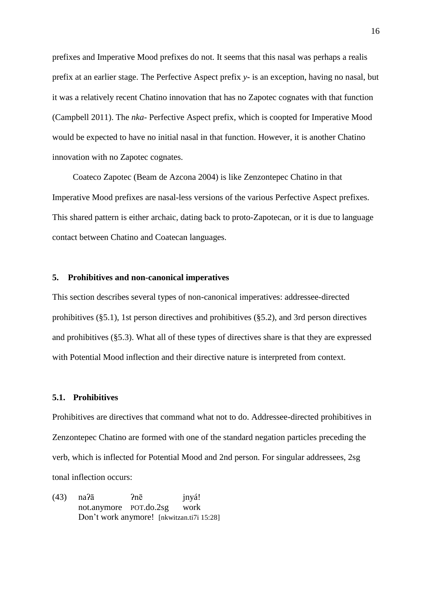prefixes and Imperative Mood prefixes do not. It seems that this nasal was perhaps a realis prefix at an earlier stage. The Perfective Aspect prefix *y-* is an exception, having no nasal, but it was a relatively recent Chatino innovation that has no Zapotec cognates with that function (Campbell 2011). The *nka-* Perfective Aspect prefix, which is coopted for Imperative Mood would be expected to have no initial nasal in that function. However, it is another Chatino innovation with no Zapotec cognates.

Coateco Zapotec (Beam de Azcona 2004) is like Zenzontepec Chatino in that Imperative Mood prefixes are nasal-less versions of the various Perfective Aspect prefixes. This shared pattern is either archaic, dating back to proto-Zapotecan, or it is due to language contact between Chatino and Coatecan languages.

## **5. Prohibitives and non-canonical imperatives**

This section describes several types of non-canonical imperatives: addressee-directed prohibitives (§5.1), 1st person directives and prohibitives (§5.2), and 3rd person directives and prohibitives (§5.3). What all of these types of directives share is that they are expressed with Potential Mood inflection and their directive nature is interpreted from context.

### **5.1. Prohibitives**

Prohibitives are directives that command what not to do. Addressee-directed prohibitives in Zenzontepec Chatino are formed with one of the standard negation particles preceding the verb, which is inflected for Potential Mood and 2nd person. For singular addressees, 2sg tonal inflection occurs:

(43) naʔā ʔnē jnyá! not.anymore POT.do.2sg work Don't work anymore! [nkwitzan.ti7i 15:28]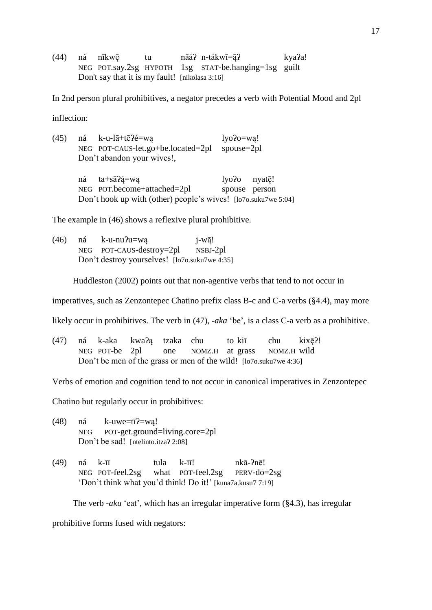(44) ná nīkwę̄ tu nāáʔ n-tákwī=ą̄ʔ kyaʔa! NEG POT.say.2sg HYPOTH 1sg STAT-be.hanging=1sg guilt Don't say that it is my fault! [nikolasa 3:16]

In 2nd person plural prohibitives, a negator precedes a verb with Potential Mood and 2pl

inflection:

(45) ná k-u-lā+tēʔé=wą lyoʔo=wą! NEG POT-CAUS-let.go+be.located=2pl spouse=2pl Don't abandon your wives!,

> ná ta+sāʔą́=wą lyoʔo nyatę̄! NEG POT.become+attached=2pl spouse person Don't hook up with (other) people's wives! [lo7o.suku7we 5:04]

The example in (46) shows a reflexive plural prohibitive.

 $(46)$  ná k-u-nu $\lambda$ u=wa j-wā! NEG POT-CAUS-destroy=2pl NSBJ-2pl Don't destroy yourselves! [lo7o.suku7we 4:35]

Huddleston (2002) points out that non-agentive verbs that tend to not occur in

imperatives, such as Zenzontepec Chatino prefix class B-c and C-a verbs (§4.4), may more

likely occur in prohibitives. The verb in (47), *-aka* 'be', is a class C-a verb as a prohibitive.

(47) ná k-aka kwaʔą tzaka chu to kiī chu kixę̄ʔ! NEG POT-be 2pl one NOMZ.H at grass NOMZ.H wild Don't be men of the grass or men of the wild! [lo7o.suku7we 4:36]

Verbs of emotion and cognition tend to not occur in canonical imperatives in Zenzontepec

Chatino but regularly occur in prohibitives:

- (48) ná k-uwe=tīʔ=wą! NEG POT-get.ground=living.core=2pl Don't be sad! [ntelinto.itza? 2:08]
- (49) ná k- $\overline{n}$  tula k- $\overline{n}$ ! nkā- $\overline{n}$ ē! NEG POT-feel.2sg what POT-feel.2sg PERV-do=2sg 'Don't think what you'd think! Do it!' [kuna7a.kusu7 7:19]

The verb *-aku* 'eat', which has an irregular imperative form (§4.3), has irregular

prohibitive forms fused with negators: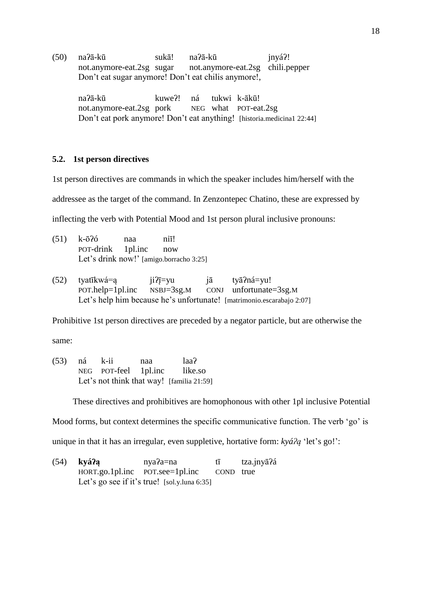(50) naʔā-kū sukā! naʔā-kū jnyáʔ! not.anymore-eat.2sg sugar not.anymore-eat.2sg chili.pepper Don't eat sugar anymore! Don't eat chilis anymore!,

> naʔā-kū kuweʔ! ná tukwi k-ākū! not.anymore-eat.2sg pork NEG what POT-eat.2sg Don't eat pork anymore! Don't eat anything! [historia.medicina1 22:44]

## **5.2. 1st person directives**

1st person directives are commands in which the speaker includes him/herself with the

addressee as the target of the command. In Zenzontepec Chatino, these are expressed by

inflecting the verb with Potential Mood and 1st person plural inclusive pronouns:

| $(51)$ k- $\bar{o}$ ?6 | naa | $\overline{\text{ni}}$                  |
|------------------------|-----|-----------------------------------------|
| POT-drink 1pl.inc now  |     |                                         |
|                        |     | Let's drink now!' [amigo.borracho 3:25] |

(52) tyatīkwá=ą  $ji2\overline{j}$ =yu  $j\overline{a}$  ty $\overline{a}$ ?ná=yu! POT.help=1pl.inc NSBJ=3sg.M CONJ unfortunate=3sg.M Let's help him because he's unfortunate! [matrimonio.escarabajo 2:07]

Prohibitive 1st person directives are preceded by a negator particle, but are otherwise the

same:

(53) ná k-ii naa laaʔ NEG POT-feel 1pl.inc like.so Let's not think that way! [familia 21:59]

These directives and prohibitives are homophonous with other 1pl inclusive Potential

Mood forms, but context determines the specific communicative function. The verb 'go' is

unique in that it has an irregular, even suppletive, hortative form: *kyáʔą* 'let's go!':

(54) **kyáʔą** nyaʔa=na tī tza.jnyāʔá HORT.go.1pl.inc POT.see=1pl.inc COND true Let's go see if it's true! [sol.y.luna 6:35]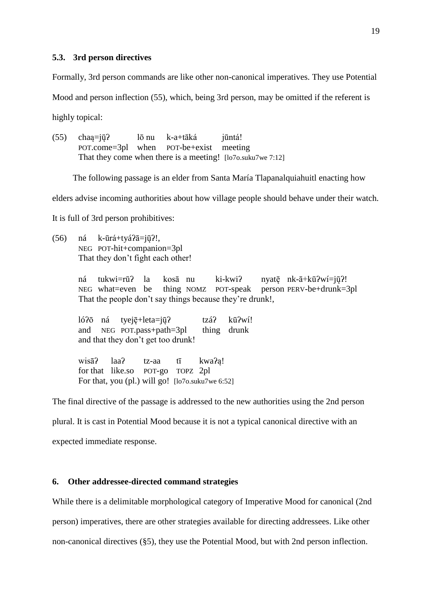### **5.3. 3rd person directives**

Formally, 3rd person commands are like other non-canonical imperatives. They use Potential

Mood and person inflection (55), which, being 3rd person, may be omitted if the referent is

highly topical:

(55) chaą=jų̄ʔ lō nu k-a+tāká jūntá! POT.come=3pl when POT-be+exist meeting That they come when there is a meeting! [lo7o.suku7we 7:12]

The following passage is an elder from Santa María Tlapanalquiahuitl enacting how

elders advise incoming authorities about how village people should behave under their watch.

It is full of 3rd person prohibitives:

(56) ná k-ūrá+tyáʔā=jų̄ʔ!, NEG POT-hit+companion=3pl That they don't fight each other!

> ná tukwi=rūʔ la kosā nu ki-kwiʔ nyatę̄ nk-ā+kūʔwí=jų̄ʔ! NEG what=even be thing NOMZ POT-speak person PERV-be+drunk=3pl That the people don't say things because they're drunk!,

lóʔō ná tyeję̄+leta=jų̄ʔ tzáʔ kūʔwí! and NEG POT.pass+path=3pl thing drunk and that they don't get too drunk!

wisāʔ laaʔ tz-aa tī kwaʔą! for that like.so POT-go TOPZ 2pl For that, you (pl.) will go! [lo7o.suku7we 6:52]

The final directive of the passage is addressed to the new authorities using the 2nd person plural. It is cast in Potential Mood because it is not a typical canonical directive with an expected immediate response.

### **6. Other addressee-directed command strategies**

While there is a delimitable morphological category of Imperative Mood for canonical (2nd person) imperatives, there are other strategies available for directing addressees. Like other non-canonical directives (§5), they use the Potential Mood, but with 2nd person inflection.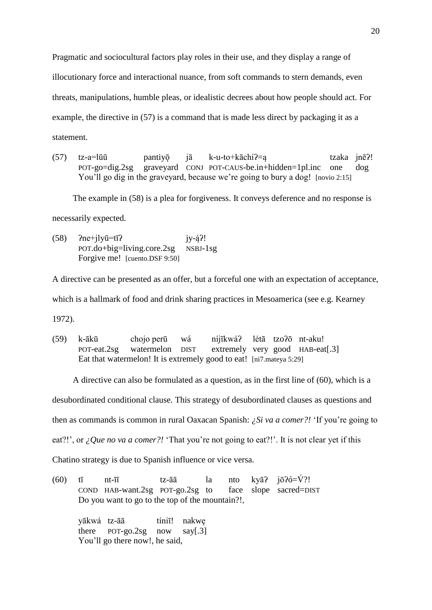Pragmatic and sociocultural factors play roles in their use, and they display a range of illocutionary force and interactional nuance, from soft commands to stern demands, even threats, manipulations, humble pleas, or idealistic decrees about how people should act. For example, the directive in (57) is a command that is made less direct by packaging it as a statement.

(57)  $tz-a=\overline{\phantom{a}}\overline{\phantom{a}}\overline{\phantom{a}}\overline{\phantom{a}}\overline{\phantom{a}}\overline{\phantom{a}}\overline{\phantom{a}}\overline{\phantom{a}}\overline{\phantom{a}}\overline{\phantom{a}}\overline{\phantom{a}}\overline{\phantom{a}}\overline{\phantom{a}}\overline{\phantom{a}}\overline{\phantom{a}}\overline{\phantom{a}}\overline{\phantom{a}}\overline{\phantom{a}}\overline{\phantom{a}}\overline{\phantom{a}}\overline{\phantom{a}}\overline{\phantom{a}}\overline{\phantom{a}}\overline{\phantom$ POT-go=dig.2sg graveyard CONJ POT-CAUS-be.in+hidden=1pl.inc one dog You'll go dig in the graveyard, because we're going to bury a dog! [novio 2:15]

The example in (58) is a plea for forgiveness. It conveys deference and no response is

necessarily expected.

(58)  $\text{?ne+}$ jlyū=tī? jy-ą́?! POT.do+big=living.core.2sg NSBJ-1sg Forgive me! [cuento.DSF 9:50]

A directive can be presented as an offer, but a forceful one with an expectation of acceptance,

which is a hallmark of food and drink sharing practices in Mesoamerica (see e.g. Kearney

1972).

(59) k-ākū chojo perū wá níjīkwáʔ létā tzoʔō nt-aku! POT-eat.2sg watermelon DIST extremely very good HAB-eat[.3] Eat that watermelon! It is extremely good to eat! [ni7.mateya 5:29]

A directive can also be formulated as a question, as in the first line of (60), which is a desubordinated conditional clause. This strategy of desubordinated clauses as questions and then as commands is common in rural Oaxacan Spanish: *¿Si va a comer?!* 'If you're going to eat?!', or *¿Que no va a comer?!* 'That you're not going to eat?!'. It is not clear yet if this

Chatino strategy is due to Spanish influence or vice versa.

(60) tī nt- $\overline{u}$  tz-āā la nto kvā? jō?ó= $\overline{V}$ ?! COND HAB-want.2sg POT-go.2sg to face slope sacred=DIST Do you want to go to the top of the mountain?!,

yākwá tz-āā tíniī! nakwę there POT-go.2sg now say[.3] You'll go there now!, he said,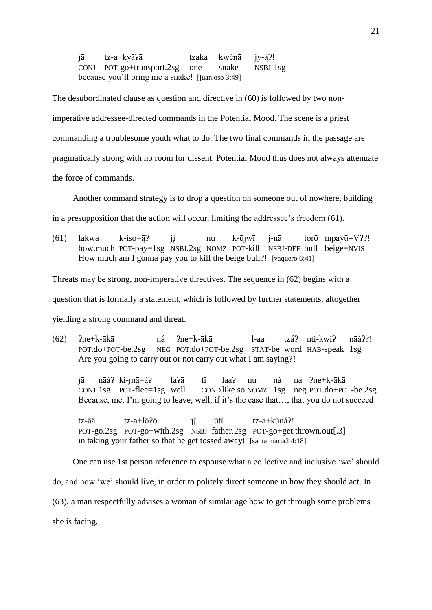jā tz-a+kyāʔā tzaka kwénā jy-ą́ʔ! CONJ POT-go+transport.2sg one snake NSBJ-1sg because you'll bring me a snake! *[juan.oso 3:49]* 

The desubordinated clause as question and directive in (60) is followed by two nonimperative addressee-directed commands in the Potential Mood. The scene is a priest commanding a troublesome youth what to do. The two final commands in the passage are pragmatically strong with no room for dissent. Potential Mood thus does not always attenuate the force of commands.

Another command strategy is to drop a question on someone out of nowhere, building

in a presupposition that the action will occur, limiting the addressee's freedom (61).

(61) lakwa k-iso= $\bar{a}$ ? jí nu k-ūjwī j-nā torō mpayū=V??! how.much POT-pay=1sg NSBJ.2sg NOMZ POT-kill NSBJ-DEF bull beige=NVIS How much am I gonna pay you to kill the beige bull?! [vaquero 6:41]

Threats may be strong, non-imperative directives. The sequence in (62) begins with a

question that is formally a statement, which is followed by further statements, altogether

yielding a strong command and threat.

 $(62)$   $2n$ e+k-ākā ná  $2n$ e+k-ākā l-aa tzá $2n$  ni-kwi $2$  nāá $22!$ POT.do+POT-be.2sg NEG POT.do+POT-be.2sg STAT-be word HAB-speak 1sg Are you going to carry out or not carry out what I am saying?!

jā nāáʔ ki-jnā=ą́ʔ laʔā tī laaʔ nu ná ná ʔne+k-ākā CONJ 1sg POT-flee=1sg well COND like.so NOMZ 1sg neg POT.do+POT-be.2sg Because, me, I'm going to leave, well, if it's the case that…, that you do not succeed

 $tz$ - $\bar{a}$  tz-a+lō $\bar{c}$  iī jūtī tz-a+kūná?! POT-go.2sg POT-go+with.2sg NSBJ father.2sg POT-go+get.thrown.out[.3] in taking your father so that he get tossed away! [santa.maria2 4:18]

One can use 1st person reference to espouse what a collective and inclusive 'we' should do, and how 'we' should live, in order to politely direct someone in how they should act. In (63), a man respectfully advises a woman of similar age how to get through some problems she is facing.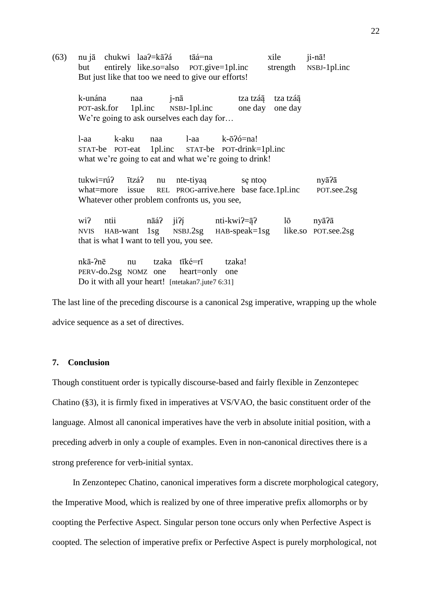(63) nu jā chukwi laa? $\equiv$ kā?á tāá=na  $\equiv$  xile ji-nā! but entirely like.so=also POT.give=1pl.inc strength NSBJ-1pl.inc But just like that too we need to give our efforts!

k-unána naa j-nā tza tzáą̃ tza tzáą̃ POT-ask.for 1pl.inc NSBJ-1pl.inc one day one day We're going to ask ourselves each day for...

l-aa k-aku naa l-aa k-ōʔó=na! STAT-be POT-eat 1pl.inc STAT-be POT-drink=1pl.inc what we're going to eat and what we're going to drink!

tukwi=rúʔ ītzáʔ nu nte-tiyaą sę ntoǫ nyāʔā what=more issue REL PROG-arrive.here base face.1pl.inc POT.see.2sg Whatever other problem confronts us, you see,

wi? ntii nāá? ji?í nti-kwi?= $\bar{a}$ ? lō nyā?ā NVIS HAB-want 1sg NSBJ.2sg HAB-speak=1sg like.so POT.see.2sg that is what I want to tell you, you see.

nkā-ʔnē nu tzaka tīké=rī tzaka! PERV-do.2sg NOMZ one heart=only one Do it with all your heart! [ntetakan7.jute7 6:31]

The last line of the preceding discourse is a canonical 2sg imperative, wrapping up the whole advice sequence as a set of directives.

## **7. Conclusion**

Though constituent order is typically discourse-based and fairly flexible in Zenzontepec Chatino (§3), it is firmly fixed in imperatives at VS/VAO, the basic constituent order of the language. Almost all canonical imperatives have the verb in absolute initial position, with a preceding adverb in only a couple of examples. Even in non-canonical directives there is a strong preference for verb-initial syntax.

In Zenzontepec Chatino, canonical imperatives form a discrete morphological category, the Imperative Mood, which is realized by one of three imperative prefix allomorphs or by coopting the Perfective Aspect. Singular person tone occurs only when Perfective Aspect is coopted. The selection of imperative prefix or Perfective Aspect is purely morphological, not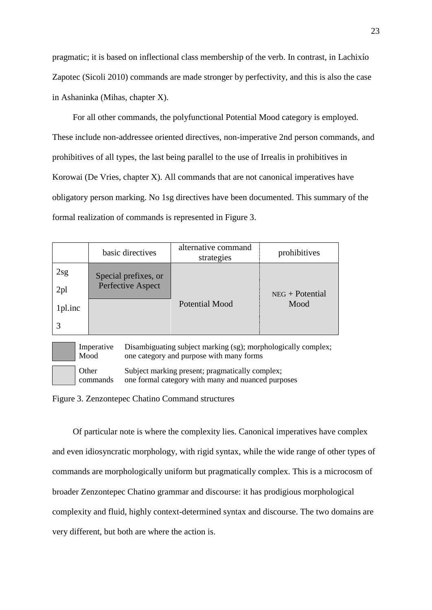pragmatic; it is based on inflectional class membership of the verb. In contrast, in Lachixío Zapotec (Sicoli 2010) commands are made stronger by perfectivity, and this is also the case in Ashaninka (Mihas, chapter X).

For all other commands, the polyfunctional Potential Mood category is employed. These include non-addressee oriented directives, non-imperative 2nd person commands, and prohibitives of all types, the last being parallel to the use of Irrealis in prohibitives in Korowai (De Vries, chapter X). All commands that are not canonical imperatives have obligatory person marking. No 1sg directives have been documented. This summary of the formal realization of commands is represented in Figure 3.

|                 | basic directives     | alternative command<br>strategies | prohibitives      |
|-----------------|----------------------|-----------------------------------|-------------------|
| 2sg             | Special prefixes, or |                                   |                   |
| 2 <sub>pl</sub> | Perfective Aspect    |                                   | $NEG + Potential$ |
| 1pl.inc         |                      | <b>Potential Mood</b>             | Mood              |
|                 |                      |                                   |                   |

Imperative Disambiguating subject marking (sg); morphologically complex; one category and purpose with many forms

commands Subject marking present; pragmatically complex; one formal category with many and nuanced purposes

Figure 3. Zenzontepec Chatino Command structures

Mood

**Other** 

Of particular note is where the complexity lies. Canonical imperatives have complex and even idiosyncratic morphology, with rigid syntax, while the wide range of other types of commands are morphologically uniform but pragmatically complex. This is a microcosm of broader Zenzontepec Chatino grammar and discourse: it has prodigious morphological complexity and fluid, highly context-determined syntax and discourse. The two domains are very different, but both are where the action is.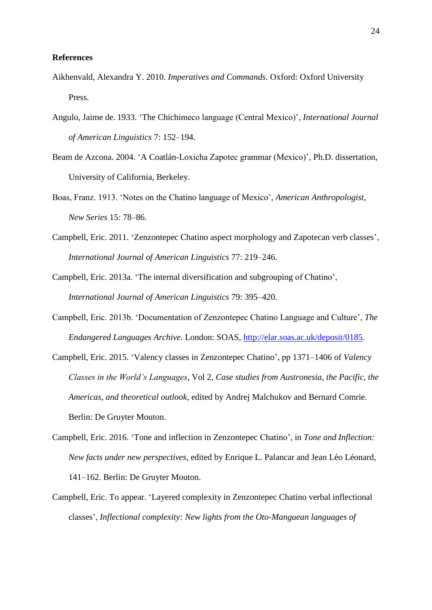### **References**

- Aikhenvald, Alexandra Y. 2010. *Imperatives and Commands*. Oxford: Oxford University Press.
- Angulo, Jaime de. 1933. 'The Chichimeco language (Central Mexico)', *International Journal of American Linguistics* 7: 152–194.
- Beam de Azcona. 2004. 'A Coatlán-Loxicha Zapotec grammar (Mexico)', Ph.D. dissertation, University of California, Berkeley.
- Boas, Franz. 1913. 'Notes on the Chatino language of Mexico', *American Anthropologist, New Series* 15: 78–86.
- Campbell, Eric. 2011. 'Zenzontepec Chatino aspect morphology and Zapotecan verb classes', *International Journal of American Linguistics* 77: 219–246.
- Campbell, Eric. 2013a. 'The internal diversification and subgrouping of Chatino', *International Journal of American Linguistics* 79: 395–420.
- Campbell, Eric. 2013b. 'Documentation of Zenzontepec Chatino Language and Culture', *The Endangered Languages Archive*. London: SOAS, [http://elar.soas.ac.uk/deposit/0185.](http://elar.soas.ac.uk/deposit/0185)
- Campbell, Eric. 2015. 'Valency classes in Zenzontepec Chatino', pp 1371–1406 of *Valency Classes in the World's Languages*, Vol 2, *Case studies from Austronesia, the Pacific, the Americas, and theoretical outlook*, edited by Andrej Malchukov and Bernard Comrie. Berlin: De Gruyter Mouton.
- Campbell, Eric. 2016. 'Tone and inflection in Zenzontepec Chatino', in *Tone and Inflection: New facts under new perspectives*, edited by Enrique L. Palancar and Jean Léo Léonard, 141–162. Berlin: De Gruyter Mouton.
- Campbell, Eric. To appear. 'Layered complexity in Zenzontepec Chatino verbal inflectional classes', *Inflectional complexity: New lights from the Oto-Manguean languages of*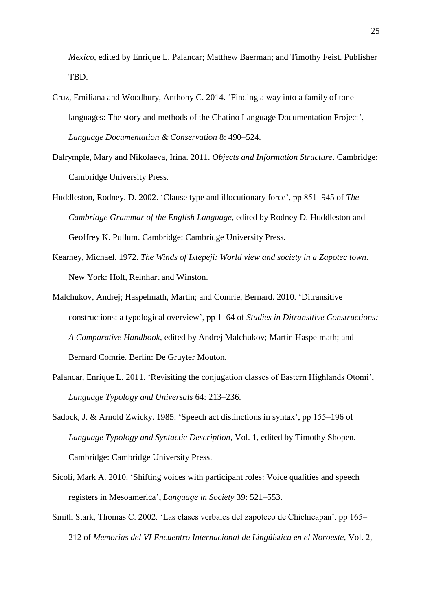*Mexico*, edited by Enrique L. Palancar; Matthew Baerman; and Timothy Feist. Publisher TBD.

- Cruz, Emiliana and Woodbury, Anthony C. 2014. 'Finding a way into a family of tone languages: The story and methods of the Chatino Language Documentation Project', *Language Documentation & Conservation* 8: 490–524.
- Dalrymple, Mary and Nikolaeva, Irina. 2011. *Objects and Information Structure*. Cambridge: Cambridge University Press.
- Huddleston, Rodney. D. 2002. 'Clause type and illocutionary force', pp 851–945 of *The Cambridge Grammar of the English Language*, edited by Rodney D. Huddleston and Geoffrey K. Pullum. Cambridge: Cambridge University Press.
- Kearney, Michael. 1972. *The Winds of Ixtepeji: World view and society in a Zapotec town*. New York: Holt, Reinhart and Winston.
- Malchukov, Andrej; Haspelmath, Martin; and Comrie, Bernard. 2010. 'Ditransitive constructions: a typological overview', pp 1–64 of *Studies in Ditransitive Constructions: A Comparative Handbook*, edited by Andrej Malchukov; Martin Haspelmath; and Bernard Comrie. Berlin: De Gruyter Mouton.
- Palancar, Enrique L. 2011. 'Revisiting the conjugation classes of Eastern Highlands Otomi', *Language Typology and Universals* 64: 213–236.
- Sadock, J. & Arnold Zwicky. 1985. 'Speech act distinctions in syntax', pp 155–196 of *Language Typology and Syntactic Description*, Vol. 1, edited by Timothy Shopen. Cambridge: Cambridge University Press.
- Sicoli, Mark A. 2010. 'Shifting voices with participant roles: Voice qualities and speech registers in Mesoamerica', *Language in Society* 39: 521–553.
- Smith Stark, Thomas C. 2002. 'Las clases verbales del zapoteco de Chichicapan', pp 165– 212 of *Memorias del VI Encuentro Internacional de Lingüística en el Noroeste*, Vol. 2,